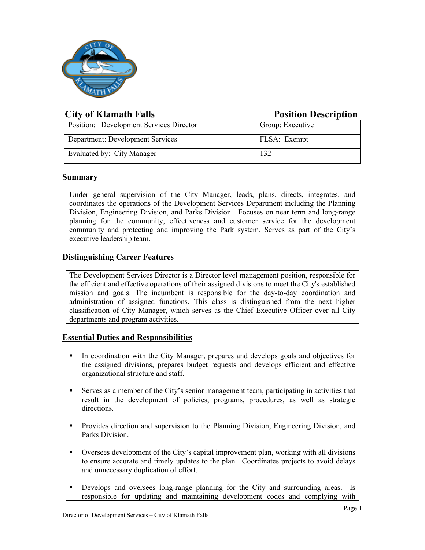

# **City of Klamath Falls Position Description**

| Position: Development Services Director | Group: Executive |
|-----------------------------------------|------------------|
| Department: Development Services        | FLSA: Exempt     |
| Evaluated by: City Manager              |                  |

## **Summary**

Under general supervision of the City Manager, leads, plans, directs, integrates, and coordinates the operations of the Development Services Department including the Planning Division, Engineering Division, and Parks Division. Focuses on near term and long-range planning for the community, effectiveness and customer service for the development community and protecting and improving the Park system. Serves as part of the City's executive leadership team.

# **Distinguishing Career Features**

The Development Services Director is a Director level management position, responsible for the efficient and effective operations of their assigned divisions to meet the City's established mission and goals. The incumbent is responsible for the day-to-day coordination and administration of assigned functions. This class is distinguished from the next higher classification of City Manager, which serves as the Chief Executive Officer over all City departments and program activities.

# **Essential Duties and Responsibilities**

- In coordination with the City Manager, prepares and develops goals and objectives for the assigned divisions, prepares budget requests and develops efficient and effective organizational structure and staff.
- Serves as a member of the City's senior management team, participating in activities that result in the development of policies, programs, procedures, as well as strategic directions.
- Provides direction and supervision to the Planning Division, Engineering Division, and Parks Division.
- Oversees development of the City's capital improvement plan, working with all divisions to ensure accurate and timely updates to the plan. Coordinates projects to avoid delays and unnecessary duplication of effort.
- Develops and oversees long-range planning for the City and surrounding areas. Is responsible for updating and maintaining development codes and complying with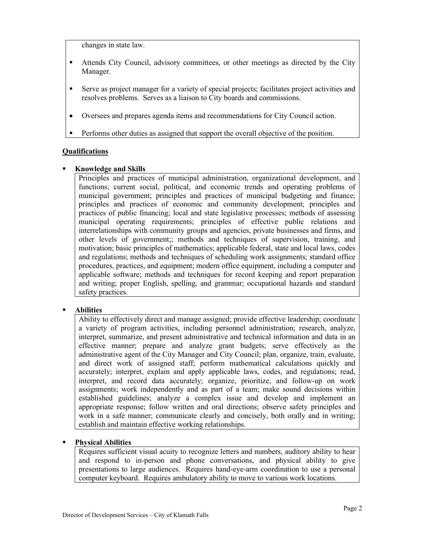changes in state law.

- Attends City Council, advisory committees, or other meetings as directed by the City Manager.
- Serve as project manager for a variety of special projects; facilitates project activities and resolves problems. Serves as a liaison to City boards and commissions.
- Oversees and prepares agenda items and recommendations for City Council action.
- Performs other duties as assigned that support the overall objective of the position.

## **Qualifications**

#### **Knowledge and Skills**

Principles and practices of municipal administration, organizational development, and functions; current social, political, and economic trends and operating problems of municipal government; principles and practices of municipal budgeting and finance; principles and practices of economic and community development; principles and practices of public financing; local and state legislative processes; methods of assessing municipal operating requirements; principles of effective public relations and interrelationships with community groups and agencies, private businesses and firms, and other levels of government;; methods and techniques of supervision, training, and motivation; basic principles of mathematics; applicable federal, state and local laws, codes and regulations; methods and techniques of scheduling work assignments; standard office procedures, practices, and equipment; modern office equipment, including a computer and applicable software; methods and techniques for record keeping and report preparation and writing; proper English, spelling, and grammar; occupational hazards and standard safety practices.

## **Abilities**

Ability to effectively direct and manage assigned; provide effective leadership; coordinate a variety of program activities, including personnel administration; research, analyze, interpret, summarize, and present administrative and technical information and data in an effective manner; prepare and analyze grant budgets; serve effectively as the administrative agent of the City Manager and City Council; plan, organize, train, evaluate, and direct work of assigned staff; perform mathematical calculations quickly and accurately; interpret, explain and apply applicable laws, codes, and regulations; read, interpret, and record data accurately; organize, prioritize, and follow-up on work assignments; work independently and as part of a team; make sound decisions within established guidelines; analyze a complex issue and develop and implement an appropriate response; follow written and oral directions; observe safety principles and work in a safe manner; communicate clearly and concisely, both orally and in writing; establish and maintain effective working relationships.

## **Physical Abilities**

Requires sufficient visual acuity to recognize letters and numbers, auditory ability to hear and respond to in-person and phone conversations, and physical ability to give presentations to large audiences. Requires hand-eye-arm coordination to use a personal computer keyboard. Requires ambulatory ability to move to various work locations.